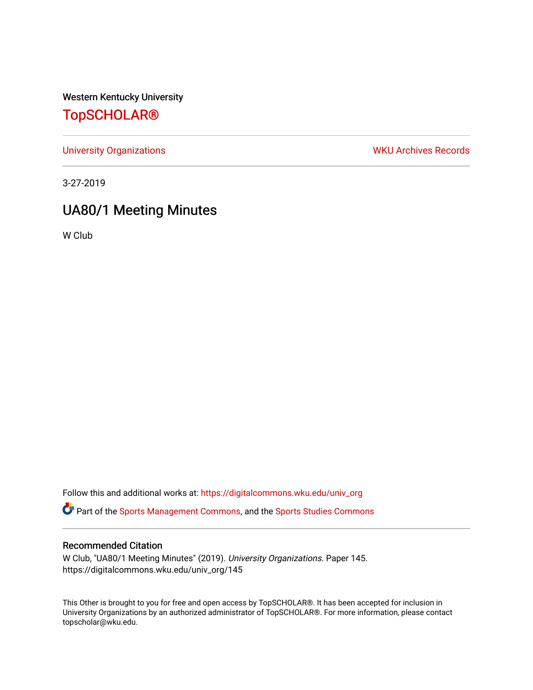Western Kentucky University

# [TopSCHOLAR®](https://digitalcommons.wku.edu/)

[University Organizations](https://digitalcommons.wku.edu/univ_org) **WKU Archives Records** 

3-27-2019

# UA80/1 Meeting Minutes

W Club

Follow this and additional works at: [https://digitalcommons.wku.edu/univ\\_org](https://digitalcommons.wku.edu/univ_org?utm_source=digitalcommons.wku.edu%2Funiv_org%2F145&utm_medium=PDF&utm_campaign=PDFCoverPages) 

**C** Part of the [Sports Management Commons](http://network.bepress.com/hgg/discipline/1193?utm_source=digitalcommons.wku.edu%2Funiv_org%2F145&utm_medium=PDF&utm_campaign=PDFCoverPages), and the [Sports Studies Commons](http://network.bepress.com/hgg/discipline/1198?utm_source=digitalcommons.wku.edu%2Funiv_org%2F145&utm_medium=PDF&utm_campaign=PDFCoverPages)

## Recommended Citation

W Club, "UA80/1 Meeting Minutes" (2019). University Organizations. Paper 145. https://digitalcommons.wku.edu/univ\_org/145

This Other is brought to you for free and open access by TopSCHOLAR®. It has been accepted for inclusion in University Organizations by an authorized administrator of TopSCHOLAR®. For more information, please contact topscholar@wku.edu.